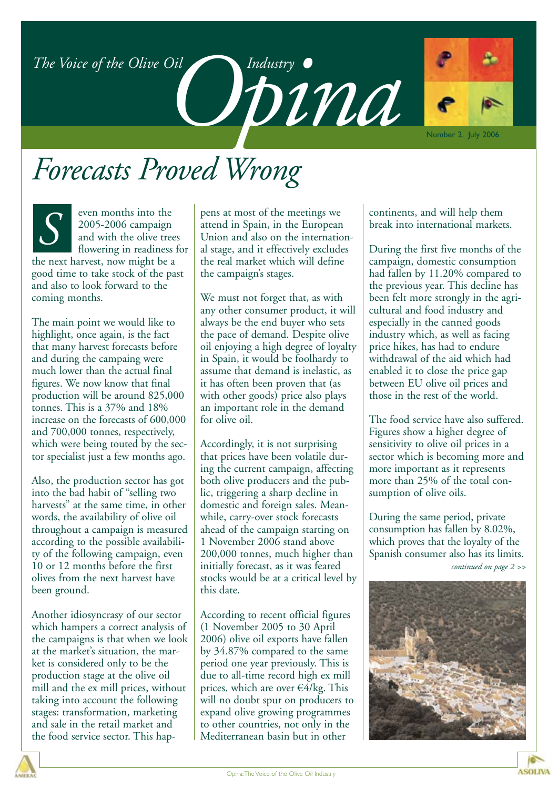*The Voice of the Olive Oil Opinalistry •* 



Number 2. July 2006

### *Forecasts Proved Wrong*



even months into the 2005-2006 campaign and with the olive trees I flowering in readiness for

the next harvest, now might be a good time to take stock of the past and also to look forward to the coming months.

The main point we would like to highlight, once again, is the fact that many harvest forecasts before and during the campaing were much lower than the actual final figures. We now know that final production will be around 825,000 tonnes. This is a 37% and 18% increase on the forecasts of 600,000 and 700,000 tonnes, respectively, which were being touted by the sector specialist just a few months ago.

Also, the production sector has got into the bad habit of "selling two harvests" at the same time, in other words, the availability of olive oil throughout a campaign is measured according to the possible availability of the following campaign, even 10 or 12 months before the first olives from the next harvest have been ground.

Another idiosyncrasy of our sector which hampers a correct analysis of the campaigns is that when we look at the market's situation, the market is considered only to be the production stage at the olive oil mill and the ex mill prices, without taking into account the following stages: transformation, marketing and sale in the retail market and the food service sector. This happens at most of the meetings we attend in Spain, in the European Union and also on the international stage, and it effectively excludes the real market which will define the campaign's stages.

We must not forget that, as with any other consumer product, it will always be the end buyer who sets the pace of demand. Despite olive oil enjoying a high degree of loyalty in Spain, it would be foolhardy to assume that demand is inelastic, as it has often been proven that (as with other goods) price also plays an important role in the demand for olive oil.

Accordingly, it is not surprising that prices have been volatile during the current campaign, affecting both olive producers and the public, triggering a sharp decline in domestic and foreign sales. Meanwhile, carry-over stock forecasts ahead of the campaign starting on 1 November 2006 stand above 200,000 tonnes, much higher than initially forecast, as it was feared stocks would be at a critical level by this date.

According to recent official figures (1 November 2005 to 30 April 2006) olive oil exports have fallen by 34.87% compared to the same period one year previously. This is due to all-time record high ex mill prices, which are over  $\epsilon \overline{4}/\text{kg}$ . This will no doubt spur on producers to expand olive growing programmes to other countries, not only in the Mediterranean basin but in other

continents, and will help them break into international markets.

During the first five months of the campaign, domestic consumption had fallen by 11.20% compared to the previous year. This decline has been felt more strongly in the agricultural and food industry and especially in the canned goods industry which, as well as facing price hikes, has had to endure withdrawal of the aid which had enabled it to close the price gap between EU olive oil prices and those in the rest of the world.

The food service have also suffered. Figures show a higher degree of sensitivity to olive oil prices in a sector which is becoming more and more important as it represents more than 25% of the total consumption of olive oils.

During the same period, private consumption has fallen by 8.02%, which proves that the loyalty of the Spanish consumer also has its limits. *continued on page 2 >>*



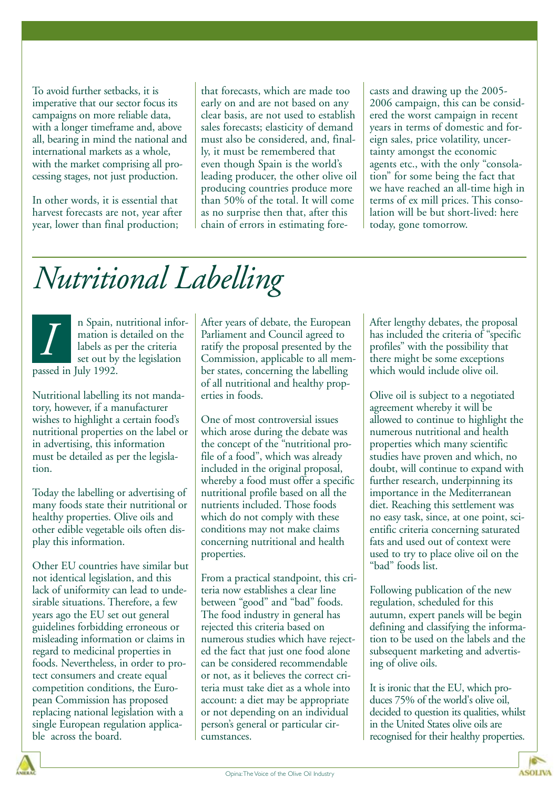To avoid further setbacks, it is imperative that our sector focus its campaigns on more reliable data, with a longer timeframe and, above all, bearing in mind the national and international markets as a whole, with the market comprising all processing stages, not just production.

In other words, it is essential that harvest forecasts are not, year after year, lower than final production;

that forecasts, which are made too early on and are not based on any clear basis, are not used to establish sales forecasts; elasticity of demand must also be considered, and, finally, it must be remembered that even though Spain is the world's leading producer, the other olive oil producing countries produce more than 50% of the total. It will come as no surprise then that, after this chain of errors in estimating fore-

casts and drawing up the 2005- 2006 campaign, this can be considered the worst campaign in recent years in terms of domestic and foreign sales, price volatility, uncertainty amongst the economic agents etc., with the only "consolation" for some being the fact that we have reached an all-time high in terms of ex mill prices. This consolation will be but short-lived: here today, gone tomorrow.

### *Nutritional Labelling*

n Spain, nutritional information is detailed on the labels as per the criteria set out by the legislation passed in July 1992. *I*

Nutritional labelling its not mandatory, however, if a manufacturer wishes to highlight a certain food's nutritional properties on the label or in advertising, this information must be detailed as per the legislation.

Today the labelling or advertising of many foods state their nutritional or healthy properties. Olive oils and other edible vegetable oils often display this information.

Other EU countries have similar but not identical legislation, and this lack of uniformity can lead to undesirable situations. Therefore, a few years ago the EU set out general guidelines forbidding erroneous or misleading information or claims in regard to medicinal properties in foods. Nevertheless, in order to protect consumers and create equal competition conditions, the European Commission has proposed replacing national legislation with a single European regulation applicable across the board.

After years of debate, the European Parliament and Council agreed to ratify the proposal presented by the Commission, applicable to all member states, concerning the labelling of all nutritional and healthy properties in foods.

One of most controversial issues which arose during the debate was the concept of the "nutritional profile of a food", which was already included in the original proposal, whereby a food must offer a specific nutritional profile based on all the nutrients included. Those foods which do not comply with these conditions may not make claims concerning nutritional and health properties.

From a practical standpoint, this criteria now establishes a clear line between "good" and "bad" foods. The food industry in general has rejected this criteria based on numerous studies which have rejected the fact that just one food alone can be considered recommendable or not, as it believes the correct criteria must take diet as a whole into account: a diet may be appropriate or not depending on an individual person's general or particular circumstances.

After lengthy debates, the proposal has included the criteria of "specific profiles" with the possibility that there might be some exceptions which would include olive oil.

Olive oil is subject to a negotiated agreement whereby it will be allowed to continue to highlight the numerous nutritional and health properties which many scientific studies have proven and which, no doubt, will continue to expand with further research, underpinning its importance in the Mediterranean diet. Reaching this settlement was no easy task, since, at one point, scientific criteria concerning saturated fats and used out of context were used to try to place olive oil on the "bad" foods list.

Following publication of the new regulation, scheduled for this autumn, expert panels will be begin defining and classifying the information to be used on the labels and the subsequent marketing and advertising of olive oils.

It is ironic that the EU, which produces 75% of the world's olive oil, decided to question its qualities, whilst in the United States olive oils are recognised for their healthy properties.

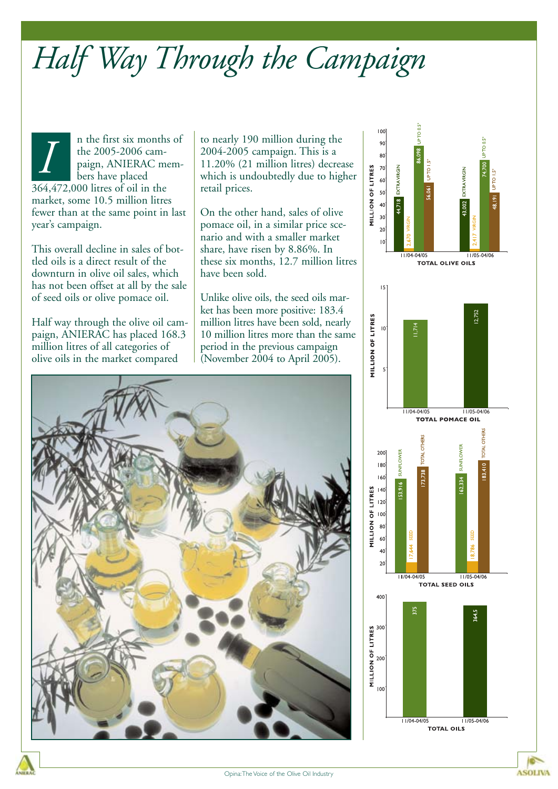# *Half Way Through the Campaign*

n the first six months of the 2005-2006 campaign, ANIERAC members have placed 364,472,000 litres of oil in the market, some 10.5 million litres fewer than at the same point in last year's campaign. The first six months of<br>the 2005-2006 cam-<br>paign, ANIERAC mem-<br>lers have placed<br>which is undoubtedly due to higher than the same placed<br>which is undoubtedly due to higher the same placed

This overall decline in sales of bottled oils is a direct result of the downturn in olive oil sales, which has not been offset at all by the sale of seed oils or olive pomace oil.

Half way through the olive oil campaign, ANIERAC has placed 168.3 million litres of all categories of olive oils in the market compared

2004-2005 campaign. This is a 11.20% (21 million litres) decrease which is undoubtedly due to higher retail prices.

On the other hand, sales of olive pomace oil, in a similar price scenario and with a smaller market share, have risen by 8.86%. In these six months, 12.7 million litres have been sold.

Unlike olive oils, the seed oils market has been more positive: 183.4 million litres have been sold, nearly 10 million litres more than the same period in the previous campaign (November 2004 to April 2005).



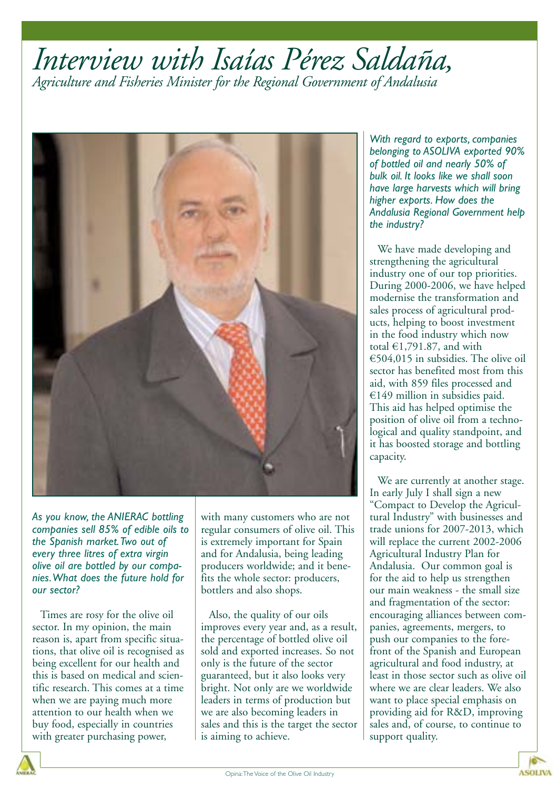### *Interview with Isaías Pérez Saldaña, Agriculture and Fisheries Minister for the Regional Government of Andalusia*



*As you know, the ANIERAC bottling companies sell 85% of edible oils to the Spanish market.Two out of every three litres of extra virgin olive oil are bottled by our companies.What does the future hold for our sector?*

Times are rosy for the olive oil sector. In my opinion, the main reason is, apart from specific situations, that olive oil is recognised as being excellent for our health and this is based on medical and scientific research. This comes at a time when we are paying much more attention to our health when we buy food, especially in countries with greater purchasing power,

with many customers who are not regular consumers of olive oil. This is extremely important for Spain and for Andalusia, being leading producers worldwide; and it benefits the whole sector: producers, bottlers and also shops.

Also, the quality of our oils improves every year and, as a result, the percentage of bottled olive oil sold and exported increases. So not only is the future of the sector guaranteed, but it also looks very bright. Not only are we worldwide leaders in terms of production but we are also becoming leaders in sales and this is the target the sector is aiming to achieve.

*With regard to exports, companies belonging to ASOLIVA exported 90% of bottled oil and nearly 50% of bulk oil. It looks like we shall soon have large harvests which will bring higher exports. How does the Andalusia Regional Government help the industry?*

We have made developing and strengthening the agricultural industry one of our top priorities. During 2000-2006, we have helped modernise the transformation and sales process of agricultural products, helping to boost investment in the food industry which now total  $£1,791.87$ , and with €504,015 in subsidies. The olive oil sector has benefited most from this aid, with 859 files processed and  $€149$  million in subsidies paid. This aid has helped optimise the position of olive oil from a technological and quality standpoint, and it has boosted storage and bottling capacity.

We are currently at another stage. In early July I shall sign a new "Compact to Develop the Agricultural Industry" with businesses and trade unions for 2007-2013, which will replace the current 2002-2006 Agricultural Industry Plan for Andalusia. Our common goal is for the aid to help us strengthen our main weakness - the small size and fragmentation of the sector: encouraging alliances between companies, agreements, mergers, to push our companies to the forefront of the Spanish and European agricultural and food industry, at least in those sector such as olive oil where we are clear leaders. We also want to place special emphasis on providing aid for R&D, improving sales and, of course, to continue to support quality.

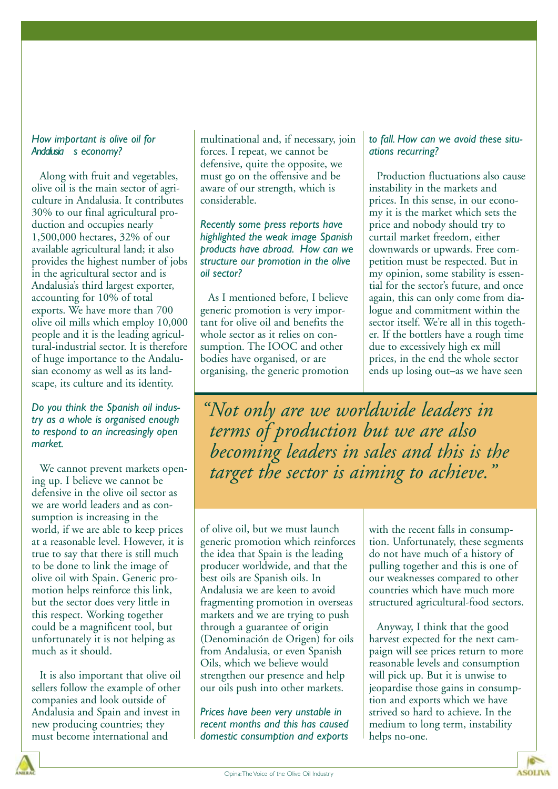#### *How important is olive oil for* Andalusia s economy?

Along with fruit and vegetables, olive oil is the main sector of agriculture in Andalusia. It contributes 30% to our final agricultural production and occupies nearly 1,500,000 hectares, 32% of our available agricultural land; it also provides the highest number of jobs in the agricultural sector and is Andalusia's third largest exporter, accounting for 10% of total exports. We have more than 700 olive oil mills which employ 10,000 people and it is the leading agricultural-industrial sector. It is therefore of huge importance to the Andalusian economy as well as its landscape, its culture and its identity.

*Do you think the Spanish oil industry as a whole is organised enough to respond to an increasingly open market.*

We cannot prevent markets opening up. I believe we cannot be defensive in the olive oil sector as we are world leaders and as consumption is increasing in the world, if we are able to keep prices at a reasonable level. However, it is true to say that there is still much to be done to link the image of olive oil with Spain. Generic promotion helps reinforce this link, but the sector does very little in this respect. Working together could be a magnificent tool, but unfortunately it is not helping as much as it should.

It is also important that olive oil sellers follow the example of other companies and look outside of Andalusia and Spain and invest in new producing countries; they must become international and

multinational and, if necessary, join forces. I repeat, we cannot be defensive, quite the opposite, we must go on the offensive and be aware of our strength, which is considerable.

*Recently some press reports have highlighted the weak image Spanish products have abroad. How can we structure our promotion in the olive oil sector?*

As I mentioned before, I believe generic promotion is very important for olive oil and benefits the whole sector as it relies on consumption. The IOOC and other bodies have organised, or are organising, the generic promotion

#### *to fall. How can we avoid these situations recurring?*

Production fluctuations also cause instability in the markets and prices. In this sense, in our economy it is the market which sets the price and nobody should try to curtail market freedom, either downwards or upwards. Free competition must be respected. But in my opinion, some stability is essential for the sector's future, and once again, this can only come from dialogue and commitment within the sector itself. We're all in this together. If the bottlers have a rough time due to excessively high ex mill prices, in the end the whole sector ends up losing out–as we have seen

*"Not only are we worldwide leaders in terms of production but we are also becoming leaders in sales and this is the target the sector is aiming to achieve."*

of olive oil, but we must launch generic promotion which reinforces the idea that Spain is the leading producer worldwide, and that the best oils are Spanish oils. In Andalusia we are keen to avoid fragmenting promotion in overseas markets and we are trying to push through a guarantee of origin (Denominación de Origen) for oils from Andalusia, or even Spanish Oils, which we believe would strengthen our presence and help our oils push into other markets.

*Prices have been very unstable in recent months and this has caused domestic consumption and exports* with the recent falls in consumption. Unfortunately, these segments do not have much of a history of pulling together and this is one of our weaknesses compared to other countries which have much more structured agricultural-food sectors.

Anyway, I think that the good harvest expected for the next campaign will see prices return to more reasonable levels and consumption will pick up. But it is unwise to jeopardise those gains in consumption and exports which we have strived so hard to achieve. In the medium to long term, instability helps no-one.

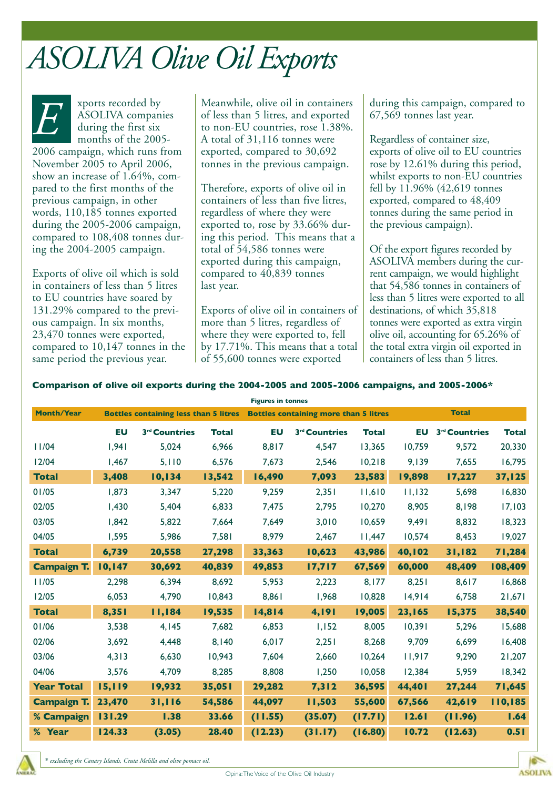### *ASOLIVA Olive Oil Exports*

xports recorded by ASOLIVA companies during the first six months of the 2005- 2006 campaign, which runs from November 2005 to April 2006, show an increase of 1.64%, compared to the first months of the previous campaign, in other words, 110,185 tonnes exported during the 2005-2006 campaign, compared to 108,408 tonnes during the 2004-2005 campaign.

Exports of olive oil which is sold in containers of less than 5 litres to EU countries have soared by 131.29% compared to the previous campaign. In six months, 23,470 tonnes were exported, compared to 10,147 tonnes in the same period the previous year.

**EP ASOLIVA companies**<br>ASOLIVA companies<br>during the first six<br>months of the 2005-<br>A total of 31,116 tonnes were of less than 5 litres, and exported to non-EU countries, rose 1.38%. A total of 31,116 tonnes were exported, compared to 30,692 tonnes in the previous campaign.

> Therefore, exports of olive oil in containers of less than five litres, regardless of where they were exported to, rose by 33.66% during this period. This means that a total of 54,586 tonnes were exported during this campaign, compared to 40,839 tonnes last year.

Exports of olive oil in containers of more than 5 litres, regardless of where they were exported to, fell by 17.71%. This means that a total of 55,600 tonnes were exported

during this campaign, compared to 67,569 tonnes last year.

Regardless of container size, exports of olive oil to EU countries rose by 12.61% during this period, whilst exports to non-EU countries fell by 11.96% (42,619 tonnes exported, compared to 48,409 tonnes during the same period in the previous campaign).

Of the export figures recorded by ASOLIVA members during the current campaign, we would highlight that 54,586 tonnes in containers of less than 5 litres were exported to all destinations, of which 35,818 tonnes were exported as extra virgin olive oil, accounting for 65.26% of the total extra virgin oil exported in containers of less than 5 litres.

#### **Comparison of olive oil exports during the 2004-2005 and 2005-2006 campaigns, and 2005-2006\***

| <b>Figures in tonnes</b> |                                              |                           |              |                                              |                           |              |              |                           |              |
|--------------------------|----------------------------------------------|---------------------------|--------------|----------------------------------------------|---------------------------|--------------|--------------|---------------------------|--------------|
| <b>Month/Year</b>        | <b>Bottles containing less than 5 litres</b> |                           |              | <b>Bottles containing more than 5 litres</b> |                           |              | <b>Total</b> |                           |              |
|                          | <b>EU</b>                                    | 3 <sup>rd</sup> Countries | <b>Total</b> | <b>EU</b>                                    | 3 <sup>rd</sup> Countries | <b>Total</b> | EU           | 3 <sup>rd</sup> Countries | <b>Total</b> |
| 11/04                    | 1,941                                        | 5,024                     | 6,966        | 8,817                                        | 4,547                     | 13,365       | 10,759       | 9,572                     | 20,330       |
| 12/04                    | 1,467                                        | 5,110                     | 6,576        | 7,673                                        | 2,546                     | 10,218       | 9,139        | 7,655                     | 16,795       |
| <b>Total</b>             | 3,408                                        | 10,134                    | 13,542       | 16,490                                       | 7,093                     | 23,583       | 19,898       | 17,227                    | 37,125       |
| 01/05                    | 1,873                                        | 3,347                     | 5,220        | 9,259                                        | 2,351                     | 11,610       | 11,132       | 5,698                     | 16,830       |
| 02/05                    | 1,430                                        | 5,404                     | 6,833        | 7,475                                        | 2,795                     | 10,270       | 8,905        | 8,198                     | 17,103       |
| 03/05                    | 1,842                                        | 5,822                     | 7.664        | 7,649                                        | 3,010                     | 10,659       | 9,491        | 8,832                     | 18,323       |
| 04/05                    | 1,595                                        | 5,986                     | 7,581        | 8,979                                        | 2,467                     | 11,447       | 10,574       | 8,453                     | 19,027       |
| <b>Total</b>             | 6,739                                        | 20,558                    | 27,298       | 33,363                                       | 10,623                    | 43,986       | 40,102       | 31,182                    | 71,284       |
| <b>Campaign T.</b>       | 10,147                                       | 30,692                    | 40,839       | 49,853                                       | 17,717                    | 67,569       | 60,000       | 48,409                    | 108,409      |
| 11/05                    | 2,298                                        | 6,394                     | 8,692        | 5,953                                        | 2,223                     | 8,177        | 8,251        | 8,617                     | 16,868       |
| 12/05                    | 6,053                                        | 4,790                     | 10,843       | 8,861                                        | 1,968                     | 10,828       | 14,914       | 6.758                     | 21,671       |
| <b>Total</b>             | 8,351                                        | 11,184                    | 19,535       | 14,814                                       | 4,191                     | 19,005       | 23,165       | 15,375                    | 38,540       |
| 01/06                    | 3,538                                        | 4,145                     | 7,682        | 6,853                                        | 1,152                     | 8,005        | 10,391       | 5,296                     | 15,688       |
| 02/06                    | 3,692                                        | 4.448                     | 8,140        | 6,017                                        | 2,251                     | 8,268        | 9,709        | 6.699                     | 16,408       |
| 03/06                    | 4,313                                        | 6,630                     | 10,943       | 7,604                                        | 2,660                     | 10,264       | 11,917       | 9,290                     | 21,207       |
| 04/06                    | 3,576                                        | 4,709                     | 8,285        | 8,808                                        | 1,250                     | 10,058       | 12,384       | 5,959                     | 18,342       |
| <b>Year Total</b>        | 15,119                                       | 19,932                    | 35,051       | 29,282                                       | 7,312                     | 36,595       | 44,401       | 27,244                    | 71,645       |
| <b>Campaign T.</b>       | 23,470                                       | 31,116                    | 54,586       | 44,097                                       | 11,503                    | 55,600       | 67,566       | 42,619                    | 110,185      |
| % Campaign               | 131.29                                       | 1.38                      | 33.66        | (11.55)                                      | (35.07)                   | (17.71)      | 12.61        | (11.96)                   | 1.64         |
| % Year                   | 124.33                                       | (3.05)                    | 28.40        | (12.23)                                      | (31.17)                   | (16.80)      | 10.72        | (12.63)                   | 0.51         |

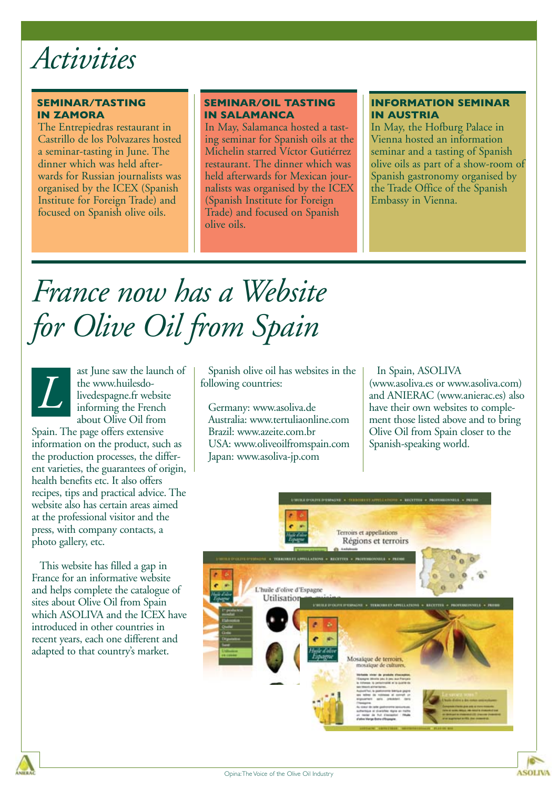

#### **SEMINAR/TASTING IN ZAMORA**

The Entrepiedras restaurant in Castrillo de los Polvazares hosted a seminar-tasting in June. The dinner which was held afterwards for Russian journalists was organised by the ICEX (Spanish Institute for Foreign Trade) and focused on Spanish olive oils.

#### **SEMINAR/OIL TASTING IN SALAMANCA**

In May, Salamanca hosted a tasting seminar for Spanish oils at the Michelin starred Víctor Gutiérrez restaurant. The dinner which was held afterwards for Mexican journalists was organised by the ICEX (Spanish Institute for Foreign Trade) and focused on Spanish olive oils.

#### **INFORMATION SEMINAR IN AUSTRIA**

In May, the Hofburg Palace in Vienna hosted an information seminar and a tasting of Spanish olive oils as part of a show-room of Spanish gastronomy organised by the Trade Office of the Spanish Embassy in Vienna.

## *France now has a Website for Olive Oil from Spain*



ast June saw the launch of the www.huilesdolivedespagne.fr website informing the French about Olive Oil from

Spain. The page offers extensive information on the product, such as the production processes, the different varieties, the guarantees of origin, health benefits etc. It also offers recipes, tips and practical advice. The website also has certain areas aimed at the professional visitor and the press, with company contacts, a photo gallery, etc.

This website has filled a gap in France for an informative website and helps complete the catalogue of sites about Olive Oil from Spain which ASOLIVA and the ICEX have introduced in other countries in recent years, each one different and adapted to that country's market.

Spanish olive oil has websites in the following countries:

Germany: www.asoliva.de Australia: www.tertuliaonline.com Brazil: www.azeite.com.br USA: www.oliveoilfromspain.com Japan: www.asoliva-jp.com

#### In Spain, ASOLIVA

(www.asoliva.es or www.asoliva.com) and ANIERAC (www.anierac.es) also have their own websites to complement those listed above and to bring Olive Oil from Spain closer to the Spanish-speaking world.